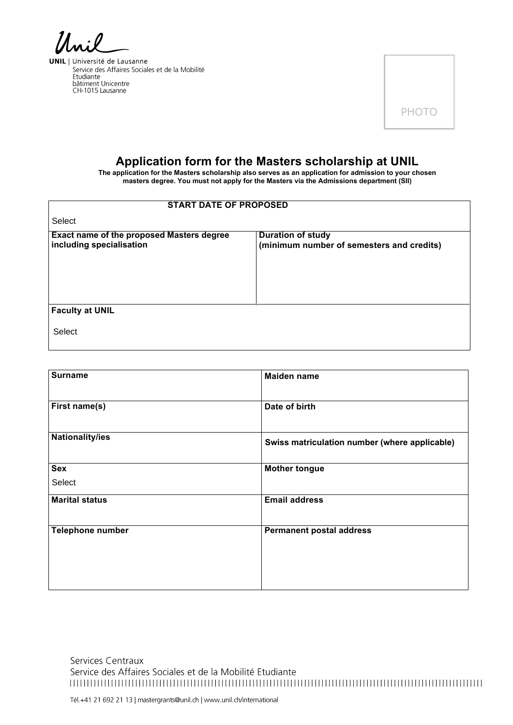**UNIL** | Université de Lausanne Service des Affaires Sociales et de la Mobilité Etudiante<br>bâtiment Unicentre<br>CH-1015 Lausanne



# **Application form for the Masters scholarship at UNIL**

**The application for the Masters scholarship also serves as an application for admission to your chosen masters degree. You must not apply for the Masters via the Admissions department (SII)**

| <b>START DATE OF PROPOSED</b>                    |                                           |  |
|--------------------------------------------------|-------------------------------------------|--|
| Select                                           |                                           |  |
| <b>Exact name of the proposed Masters degree</b> | <b>Duration of study</b>                  |  |
| including specialisation                         | (minimum number of semesters and credits) |  |
|                                                  |                                           |  |
|                                                  |                                           |  |
|                                                  |                                           |  |
|                                                  |                                           |  |
| <b>Faculty at UNIL</b>                           |                                           |  |
| Select                                           |                                           |  |
|                                                  |                                           |  |

| <b>Surname</b>        | <b>Maiden name</b>                            |  |
|-----------------------|-----------------------------------------------|--|
| First name(s)         | Date of birth                                 |  |
| Nationality/ies       | Swiss matriculation number (where applicable) |  |
| <b>Sex</b>            | <b>Mother tongue</b>                          |  |
| Select                |                                               |  |
| <b>Marital status</b> | <b>Email address</b>                          |  |
| Telephone number      | <b>Permanent postal address</b>               |  |

Services Centraux Service des Affaires Sociales et de la Mobilité Etudiante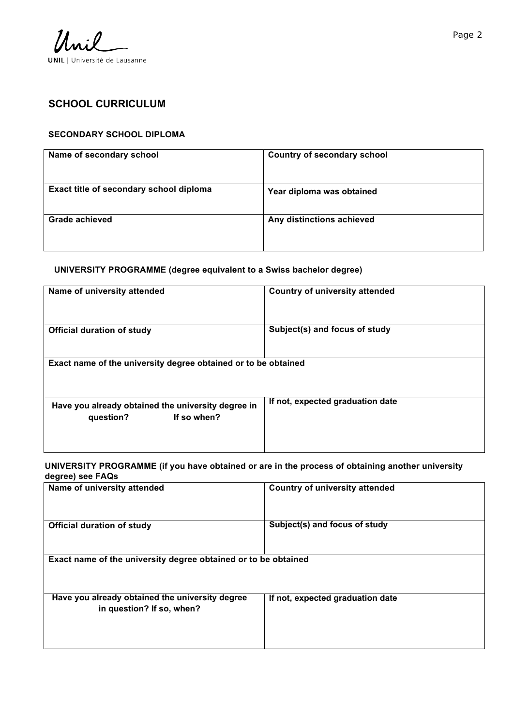

# **SCHOOL CURRICULUM**

#### **SECONDARY SCHOOL DIPLOMA**

| Name of secondary school                | <b>Country of secondary school</b> |
|-----------------------------------------|------------------------------------|
| Exact title of secondary school diploma | Year diploma was obtained          |
| Grade achieved                          | Any distinctions achieved          |

#### **UNIVERSITY PROGRAMME (degree equivalent to a Swiss bachelor degree)**

| Name of university attended                                                    | <b>Country of university attended</b> |  |  |
|--------------------------------------------------------------------------------|---------------------------------------|--|--|
| <b>Official duration of study</b>                                              | Subject(s) and focus of study         |  |  |
| Exact name of the university degree obtained or to be obtained                 |                                       |  |  |
| Have you already obtained the university degree in<br>If so when?<br>question? | If not, expected graduation date      |  |  |

### **UNIVERSITY PROGRAMME (if you have obtained or are in the process of obtaining another university degree) see FAQs**

| Name of university attended                                                  | <b>Country of university attended</b> |
|------------------------------------------------------------------------------|---------------------------------------|
| <b>Official duration of study</b>                                            | Subject(s) and focus of study         |
| Exact name of the university degree obtained or to be obtained               |                                       |
| Have you already obtained the university degree<br>in question? If so, when? | If not, expected graduation date      |